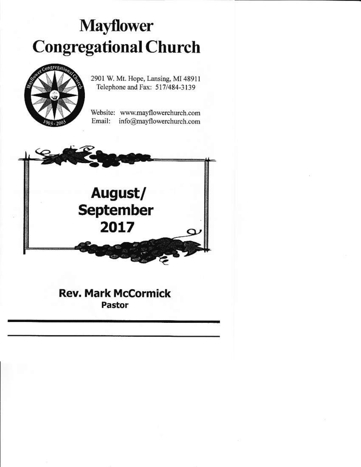# **Mayflower Congregational Church**



2901 W. Mt. Hope, Lansing, MI 48911 Telephone and Fax: 517/484-3139

Website: www.mayflowerchurch.com Email: info@mayflowerchurch.com



# **Rev. Mark McCormick Pastor**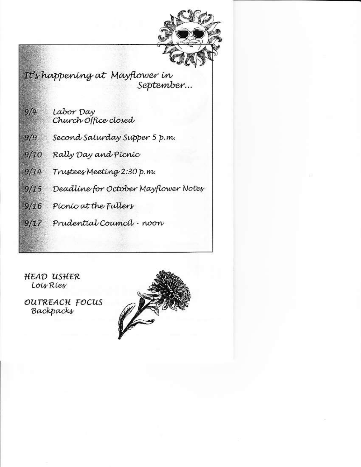

It's happening at Mayflower in September...

> Labor Day Church Office closed

Second Saturday Supper 5 p.m.

Rally Day and Picnic  $9/10$ 

Trustees Meeting 2:30 p.m.  $9/14$ 

Deadline for October Mayflower Notes  $9/15$ 

 $9/16$ Picnic at the Fullers

 $9/17$ Prudential Council - noon

**HEAD USHER** Lois Ries

 $9/4$ 

 $9/9$ 

OUTREACH FOCUS Backpacks

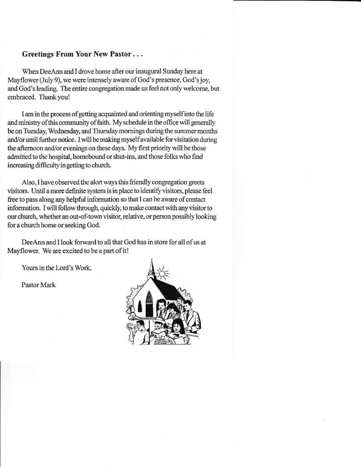### Greetings From Your New Pastor...

When DeeAnn and I drove home after our inaugural Sunday here at Mayflower (July 9), we were intensely aware of God's presence, God's joy. and God's leading. The entire congregation made us feel not only welcome, but embraced. Thank you!

I am in the process of getting acquainted and orienting myself into the life and ministry of this community of faith. My schedule in the office will generally be on Tuesday, Wednesday, and Thursday mornings during the summer months and/or until further notice. I will be making myself available for visitation during the afternoon and/or evenings on these days. My first priority will be those admitted to the hospital, homebound or shut-ins, and those folks who find increasing difficulty in getting to church.

Also, I have observed the alert ways this friendly congregation greets visitors. Until a more definite system is in place to identify visitors, please feel free to pass along any helpful information so that I can be aware of contact information. I will follow through, quickly, to make contact with any visitor to our church, whether an out-of-town visitor, relative, or person possibly looking for a church home or seeking God.

DeeAnn and I look forward to all that God has in store for all of us at Mayflower. We are excited to be a part of it!

Yours in the Lord's Work.

Pastor Mark

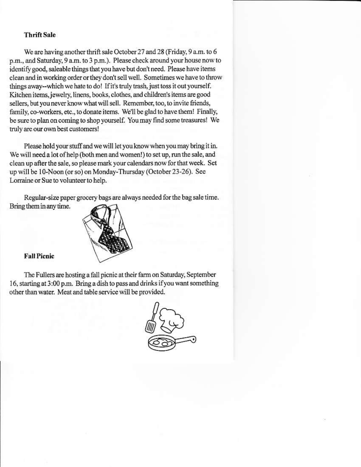#### **Thrift Sale**

We are having another thrift sale October 27 and 28 (Friday, 9 a.m. to 6 p.m., and Saturday, 9 a.m. to 3 p.m.). Please check around your house now to identify good, saleable things that you have but don't need. Please have items clean and in working order or they don't sell well. Sometimes we have to throw things away--which we hate to do! If it's truly trash, just toss it out yourself. Kitchen items, jewelry, linens, books, clothes, and children's items are good sellers, but you never know what will sell. Remember, too, to invite friends, family, co-workers, etc., to donate items. We'll be glad to have them! Finally, be sure to plan on coming to shop yourself. You may find some treasures! We truly are our own best customers!

Please hold your stuff and we will let you know when you may bring it in. We will need a lot of help (both men and women!) to set up, run the sale, and clean up after the sale, so please mark your calendars now for that week. Set up will be 10-Noon (or so) on Monday-Thursday (October 23-26). See Lorraine or Sue to volunteer to help.

Regular-size paper grocery bags are always needed for the bag sale time. Bring them in any time.



**Fall Pienic** 

The Fullers are hosting a fall picnic at their farm on Saturday, September 16, starting at 3:00 p.m. Bring a dish to pass and drinks if you want something other than water. Meat and table service will be provided.

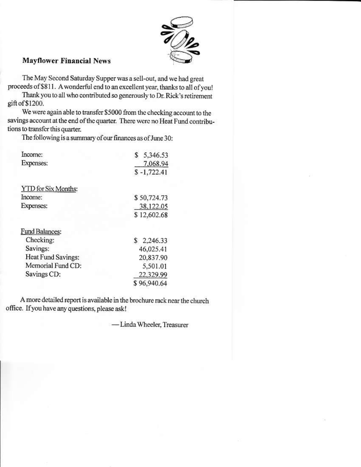

## **Mayflower Financial News**

The May Second Saturday Supper was a sell-out, and we had great proceeds of \$811. A wonderful end to an excellent year, thanks to all of you!

Thank you to all who contributed so generously to Dr. Rick's retirement gift of \$1200.

We were again able to transfer \$5000 from the checking account to the savings account at the end of the quarter. There were no Heat Fund contributions to transfer this quarter.

The following is a summary of our finances as of June 30:

| Income:                    | \$<br>5,346.53           |
|----------------------------|--------------------------|
| Expenses:                  | 7.068.94                 |
|                            | $$ -1,722.41$            |
| <b>YTD</b> for Six Months: |                          |
| Income:                    | \$50,724.73              |
| <b>Expenses:</b>           | 38,122.05                |
|                            | \$12,602.68              |
| Fund Balances:             |                          |
| Checking:                  | $\mathbb{S}$<br>2,246.33 |
| Savings:                   | 46,025.41                |
| Heat Fund Savings:         | 20,837.90                |
| Memorial Fund CD:          | 5,501.01                 |
| Savings CD:                | 22,329.99                |
|                            | \$96,940.64              |

A more detailed report is available in the brochure rack near the church office. If you have any questions, please ask!

-Linda Wheeler, Treasurer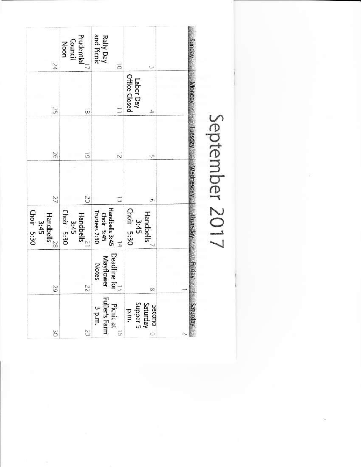| 54                                              | Prudential<br>Council<br>Noon                  | <b>Rally Day</b><br>and Picnic<br>ō                        | نب<br>Labor Day<br>Office Closed             | Vebaus          |
|-------------------------------------------------|------------------------------------------------|------------------------------------------------------------|----------------------------------------------|-----------------|
| $\widetilde{S}$                                 | ಹ                                              |                                                            |                                              |                 |
| $\Im$                                           | 5                                              | ಸ                                                          |                                              |                 |
| $\overline{\mathcal{U}}$                        | $\overline{0}$                                 |                                                            | Ģ,                                           |                 |
| $3:45$<br>Choir $5:30$<br>$\mathsf{H}$ andbells | 3:45<br>Choir 5:30<br>Handbells $\frac{21}{2}$ | Handbells 3:45<br>Choir 3:45<br>Trustees 2:30<br>ħ         | $\frac{3.45}{\text{Chot}}$ 5:30<br>Handbells |                 |
| S                                               | Z                                              | $\left  \right.$ Deadline for<br>Mayflower<br><b>Notes</b> | co                                           |                 |
| š                                               | Z                                              | Picnic at<br>Fuller's Farm<br>3 p.m.                       | Saturday<br>Supper 5<br>becond 0<br>p.m.     | <b>Aepinies</b> |

September 2017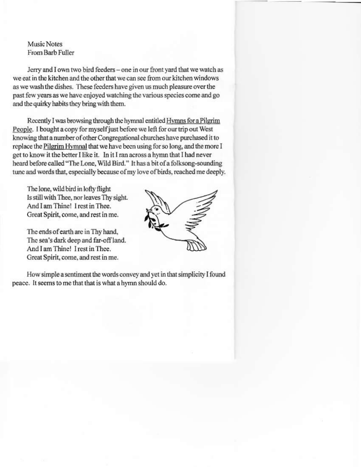## Music Notes From Barb Fuller

Jerry and I own two bird feeders - one in our front yard that we watch as we eat in the kitchen and the other that we can see from our kitchen windows as we wash the dishes. These feeders have given us much pleasure over the past few years as we have enjoyed watching the various species come and go and the quirky habits they bring with them.

Recently I was browsing through the hymnal entitled Hymns for a Pilgrim People. I bought a copy for myself just before we left for our trip out West knowing that a number of other Congregational churches have purchased it to replace the Pilgrim Hymnal that we have been using for so long, and the more I get to know it the better I like it. In it I ran across a hymn that I had never heard before called "The Lone, Wild Bird." It has a bit of a folksong-sounding tune and words that, especially because of my love of birds, reached me deeply.

The lone, wild bird in lofty flight Is still with Thee, nor leaves Thy sight. And I am Thine! I rest in Thee. Great Spirit, come, and rest in me.

The ends of earth are in Thy hand, The sea's dark deep and far-off land. And I am Thine! I rest in Thee Great Spirit, come, and rest in me.



How simple a sentiment the words convey and yet in that simplicity I found peace. It seems to me that that is what a hymn should do.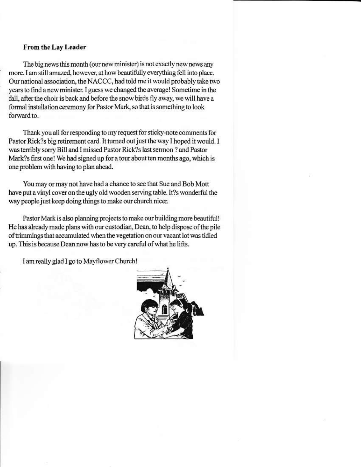#### **From the Lav Leader**

The big news this month (our new minister) is not exactly new news any more. I am still amazed, however, at how beautifully everything fell into place. Our national association, the NACCC, had told me it would probably take two years to find a new minister. I guess we changed the average! Sometime in the fall, after the choir is back and before the snow birds fly away, we will have a formal installation ceremony for Pastor Mark, so that is something to look forward to.

Thank you all for responding to my request for sticky-note comments for Pastor Rick?s big retirement card. It turned out just the way I hoped it would. I was terribly sorry Bill and I missed Pastor Rick?s last sermon ? and Pastor Mark?s first one! We had signed up for a tour about ten months ago, which is one problem with having to plan ahead.

You may or may not have had a chance to see that Sue and Bob Mott have put a vinyl cover on the ugly old wooden serving table. It?s wonderful the way people just keep doing things to make our church nicer.

Pastor Mark is also planning projects to make our building more beautiful! He has already made plans with our custodian, Dean, to help dispose of the pile of trimmings that accumulated when the vegetation on our vacant lot was tidied up. This is because Dean now has to be very careful of what he lifts.

I am really glad I go to Mayflower Church!

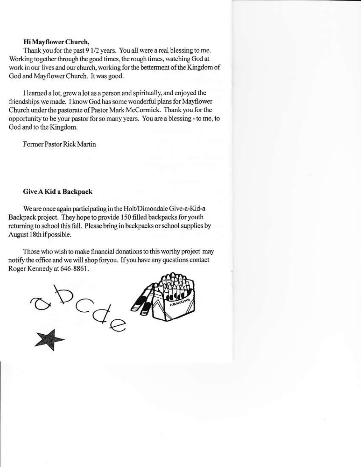#### Hi Mayflower Church,

Thank you for the past 9 1/2 years. You all were a real blessing to me. Working together through the good times, the rough times, watching God at work in our lives and our church, working for the betterment of the Kingdom of God and Mayflower Church. It was good.

I learned a lot, grew a lot as a person and spiritually, and enjoyed the friendships we made. I know God has some wonderful plans for Mayflower Church under the pastorate of Pastor Mark McCormick. Thank you for the opportunity to be your pastor for so many years. You are a blessing - to me, to God and to the Kingdom.

Former Pastor Rick Martin

#### Give A Kid a Backpack

We are once again participating in the Holt/Dimondale Give-a-Kid-a Backpack project. They hope to provide 150 filled backpacks for youth returning to school this fall. Please bring in backpacks or school supplies by August 18th if possible.

Those who wish to make financial donations to this worthy project may notify the office and we will shop foryou. If you have any questions contact Roger Kennedy at 646-8861.